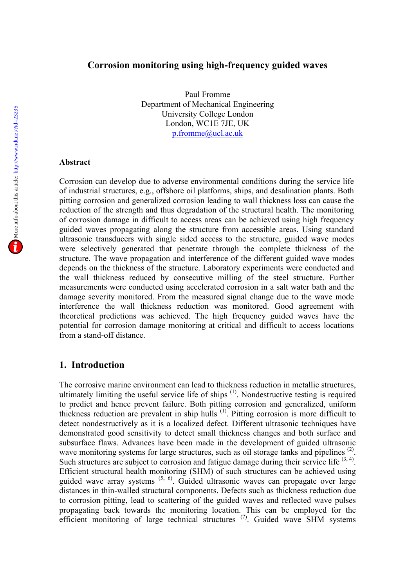#### **Corrosion monitoring using high-frequency guided waves**

Paul Fromme Department of Mechanical Engineering University College London London, WC1E 7JE, UK p.fromme@ucl.ac.uk

#### **Abstract**

Corrosion can develop due to adverse environmental conditions during the service life of industrial structures, e.g., offshore oil platforms, ships, and desalination plants. Both pitting corrosion and generalized corrosion leading to wall thickness loss can cause the reduction of the strength and thus degradation of the structural health. The monitoring of corrosion damage in difficult to access areas can be achieved using high frequency guided waves propagating along the structure from accessible areas. Using standard ultrasonic transducers with single sided access to the structure, guided wave modes were selectively generated that penetrate through the complete thickness of the structure. The wave propagation and interference of the different guided wave modes depends on the thickness of the structure. Laboratory experiments were conducted and the wall thickness reduced by consecutive milling of the steel structure. Further measurements were conducted using accelerated corrosion in a salt water bath and the damage severity monitored. From the measured signal change due to the wave mode interference the wall thickness reduction was monitored. Good agreement with theoretical predictions was achieved. The high frequency guided waves have the potential for corrosion damage monitoring at critical and difficult to access locations from a stand-off distance.

#### **1. Introduction**

The corrosive marine environment can lead to thickness reduction in metallic structures, ultimately limiting the useful service life of ships  $(1)$ . Nondestructive testing is required to predict and hence prevent failure. Both pitting corrosion and generalized, uniform thickness reduction are prevalent in ship hulls (1). Pitting corrosion is more difficult to detect nondestructively as it is a localized defect. Different ultrasonic techniques have demonstrated good sensitivity to detect small thickness changes and both surface and subsurface flaws. Advances have been made in the development of guided ultrasonic wave monitoring systems for large structures, such as oil storage tanks and pipelines<sup>(2)</sup>. Such structures are subject to corrosion and fatigue damage during their service life  $(3, 4)$ . Efficient structural health monitoring (SHM) of such structures can be achieved using guided wave array systems  $(5, 6)$ . Guided ultrasonic waves can propagate over large distances in thin-walled structural components. Defects such as thickness reduction due to corrosion pitting, lead to scattering of the guided waves and reflected wave pulses propagating back towards the monitoring location. This can be employed for the efficient monitoring of large technical structures  $(7)$ . Guided wave SHM systems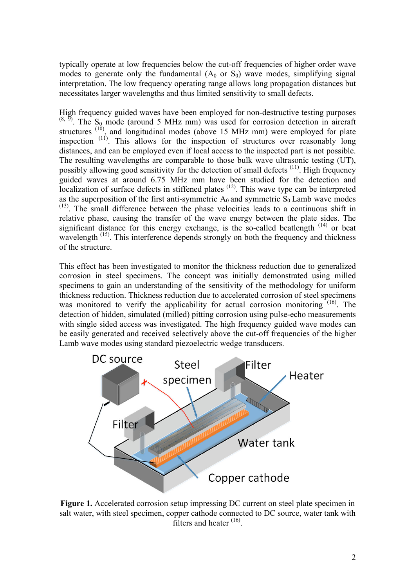typically operate at low frequencies below the cut-off frequencies of higher order wave modes to generate only the fundamental  $(A_0 \text{ or } S_0)$  wave modes, simplifying signal interpretation. The low frequency operating range allows long propagation distances but necessitates larger wavelengths and thus limited sensitivity to small defects.

High frequency guided waves have been employed for non-destructive testing purposes  $(8, 9)$ . The S<sub>0</sub> mode (around 5 MHz mm) was used for corrosion detection in aircraft structures  $(10)$ , and longitudinal modes (above 15 MHz mm) were employed for plate inspection<sup>(11)</sup>. This allows for the inspection of structures over reasonably long distances, and can be employed even if local access to the inspected part is not possible. The resulting wavelengths are comparable to those bulk wave ultrasonic testing (UT), possibly allowing good sensitivity for the detection of small defects<sup>(11)</sup>. High frequency guided waves at around 6.75 MHz mm have been studied for the detection and localization of surface defects in stiffened plates  $(12)$ . This wave type can be interpreted as the superposition of the first anti-symmetric  $A_0$  and symmetric  $S_0$  Lamb wave modes (13) . The small difference between the phase velocities leads to a continuous shift in relative phase, causing the transfer of the wave energy between the plate sides. The significant distance for this energy exchange, is the so-called beatlength<sup>(14)</sup> or beat wavelength<sup>(15)</sup>. This interference depends strongly on both the frequency and thickness of the structure.

This effect has been investigated to monitor the thickness reduction due to generalized corrosion in steel specimens. The concept was initially demonstrated using milled specimens to gain an understanding of the sensitivity of the methodology for uniform thickness reduction. Thickness reduction due to accelerated corrosion of steel specimens was monitored to verify the applicability for actual corrosion monitoring  $(16)$ . The detection of hidden, simulated (milled) pitting corrosion using pulse-echo measurements with single sided access was investigated. The high frequency guided wave modes can be easily generated and received selectively above the cut-off frequencies of the higher Lamb wave modes using standard piezoelectric wedge transducers.



**Figure 1.** Accelerated corrosion setup impressing DC current on steel plate specimen in salt water, with steel specimen, copper cathode connected to DC source, water tank with filters and heater <sup>(16)</sup>.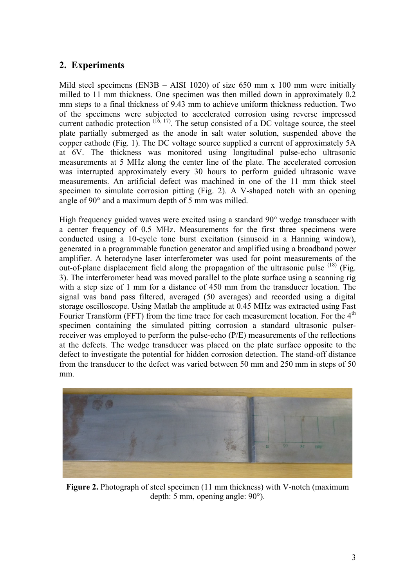# **2. Experiments**

Mild steel specimens (EN3B – AISI 1020) of size 650 mm x 100 mm were initially milled to 11 mm thickness. One specimen was then milled down in approximately 0.2 mm steps to a final thickness of 9.43 mm to achieve uniform thickness reduction. Two of the specimens were subjected to accelerated corrosion using reverse impressed current cathodic protection  $(16, 17)$ . The setup consisted of a DC voltage source, the steel plate partially submerged as the anode in salt water solution, suspended above the copper cathode (Fig. 1). The DC voltage source supplied a current of approximately 5A at 6V. The thickness was monitored using longitudinal pulse-echo ultrasonic measurements at 5 MHz along the center line of the plate. The accelerated corrosion was interrupted approximately every 30 hours to perform guided ultrasonic wave measurements. An artificial defect was machined in one of the 11 mm thick steel specimen to simulate corrosion pitting (Fig. 2). A V-shaped notch with an opening angle of 90° and a maximum depth of 5 mm was milled.

High frequency guided waves were excited using a standard 90° wedge transducer with a center frequency of 0.5 MHz. Measurements for the first three specimens were conducted using a 10-cycle tone burst excitation (sinusoid in a Hanning window), generated in a programmable function generator and amplified using a broadband power amplifier. A heterodyne laser interferometer was used for point measurements of the out-of-plane displacement field along the propagation of the ultrasonic pulse <sup>(18)</sup> (Fig. 3). The interferometer head was moved parallel to the plate surface using a scanning rig with a step size of 1 mm for a distance of 450 mm from the transducer location. The signal was band pass filtered, averaged (50 averages) and recorded using a digital storage oscilloscope. Using Matlab the amplitude at 0.45 MHz was extracted using Fast Fourier Transform (FFT) from the time trace for each measurement location. For the 4<sup>th</sup> specimen containing the simulated pitting corrosion a standard ultrasonic pulserreceiver was employed to perform the pulse-echo (P/E) measurements of the reflections at the defects. The wedge transducer was placed on the plate surface opposite to the defect to investigate the potential for hidden corrosion detection. The stand-off distance from the transducer to the defect was varied between 50 mm and 250 mm in steps of 50 mm.



**Figure 2.** Photograph of steel specimen (11 mm thickness) with V-notch (maximum depth: 5 mm, opening angle: 90°).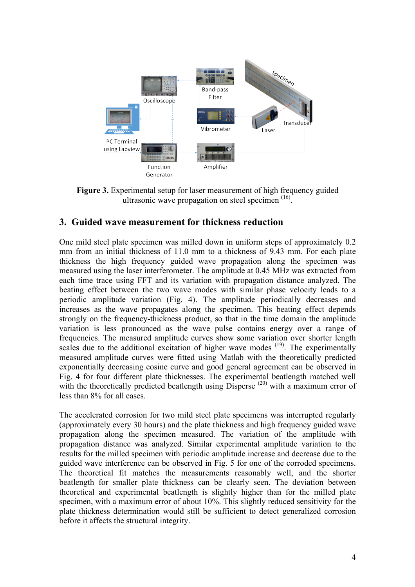

**Figure 3.** Experimental setup for laser measurement of high frequency guided ultrasonic wave propagation on steel specimen<sup>(16)</sup>.

### **3. Guided wave measurement for thickness reduction**

One mild steel plate specimen was milled down in uniform steps of approximately 0.2 mm from an initial thickness of 11.0 mm to a thickness of 9.43 mm. For each plate thickness the high frequency guided wave propagation along the specimen was measured using the laser interferometer. The amplitude at 0.45 MHz was extracted from each time trace using FFT and its variation with propagation distance analyzed. The beating effect between the two wave modes with similar phase velocity leads to a periodic amplitude variation (Fig. 4). The amplitude periodically decreases and increases as the wave propagates along the specimen. This beating effect depends strongly on the frequency-thickness product, so that in the time domain the amplitude variation is less pronounced as the wave pulse contains energy over a range of frequencies. The measured amplitude curves show some variation over shorter length scales due to the additional excitation of higher wave modes  $(19)$ . The experimentally measured amplitude curves were fitted using Matlab with the theoretically predicted exponentially decreasing cosine curve and good general agreement can be observed in Fig. 4 for four different plate thicknesses. The experimental beatlength matched well with the theoretically predicted beatlength using Disperse  $(20)$  with a maximum error of less than 8% for all cases.

The accelerated corrosion for two mild steel plate specimens was interrupted regularly (approximately every 30 hours) and the plate thickness and high frequency guided wave propagation along the specimen measured. The variation of the amplitude with propagation distance was analyzed. Similar experimental amplitude variation to the results for the milled specimen with periodic amplitude increase and decrease due to the guided wave interference can be observed in Fig. 5 for one of the corroded specimens. The theoretical fit matches the measurements reasonably well, and the shorter beatlength for smaller plate thickness can be clearly seen. The deviation between theoretical and experimental beatlength is slightly higher than for the milled plate specimen, with a maximum error of about 10%. This slightly reduced sensitivity for the plate thickness determination would still be sufficient to detect generalized corrosion before it affects the structural integrity.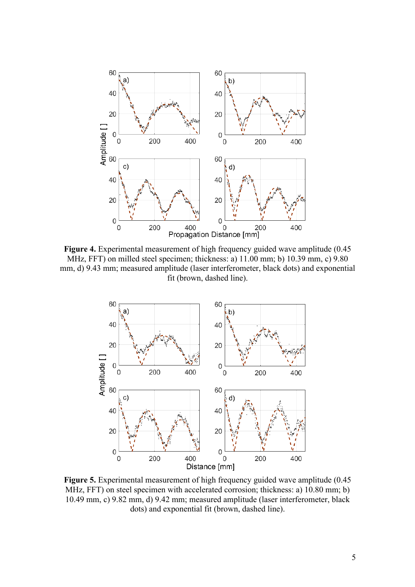

**Figure 4.** Experimental measurement of high frequency guided wave amplitude (0.45 MHz, FFT) on milled steel specimen; thickness: a) 11.00 mm; b) 10.39 mm, c) 9.80 mm, d) 9.43 mm; measured amplitude (laser interferometer, black dots) and exponential fit (brown, dashed line).



**Figure 5.** Experimental measurement of high frequency guided wave amplitude (0.45 MHz, FFT) on steel specimen with accelerated corrosion; thickness: a) 10.80 mm; b) 10.49 mm, c) 9.82 mm, d) 9.42 mm; measured amplitude (laser interferometer, black dots) and exponential fit (brown, dashed line).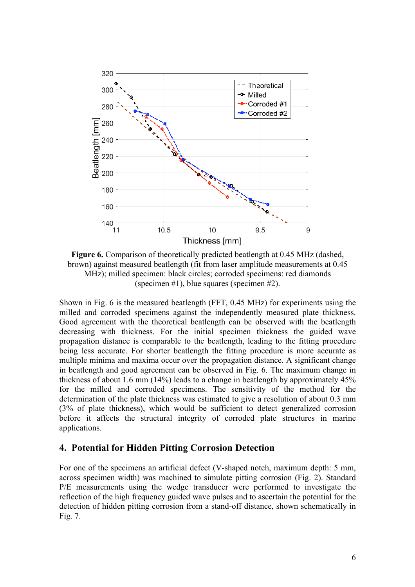

**Figure 6.** Comparison of theoretically predicted beatlength at 0.45 MHz (dashed, brown) against measured beatlength (fit from laser amplitude measurements at 0.45 MHz); milled specimen: black circles; corroded specimens: red diamonds (specimen #1), blue squares (specimen #2).

Shown in Fig. 6 is the measured beatlength (FFT, 0.45 MHz) for experiments using the milled and corroded specimens against the independently measured plate thickness. Good agreement with the theoretical beatlength can be observed with the beatlength decreasing with thickness. For the initial specimen thickness the guided wave propagation distance is comparable to the beatlength, leading to the fitting procedure being less accurate. For shorter beatlength the fitting procedure is more accurate as multiple minima and maxima occur over the propagation distance. A significant change in beatlength and good agreement can be observed in Fig. 6. The maximum change in thickness of about 1.6 mm (14%) leads to a change in beatlength by approximately 45% for the milled and corroded specimens. The sensitivity of the method for the determination of the plate thickness was estimated to give a resolution of about 0.3 mm (3% of plate thickness), which would be sufficient to detect generalized corrosion before it affects the structural integrity of corroded plate structures in marine applications.

#### **4. Potential for Hidden Pitting Corrosion Detection**

For one of the specimens an artificial defect (V-shaped notch, maximum depth: 5 mm, across specimen width) was machined to simulate pitting corrosion (Fig. 2). Standard P/E measurements using the wedge transducer were performed to investigate the reflection of the high frequency guided wave pulses and to ascertain the potential for the detection of hidden pitting corrosion from a stand-off distance, shown schematically in Fig. 7.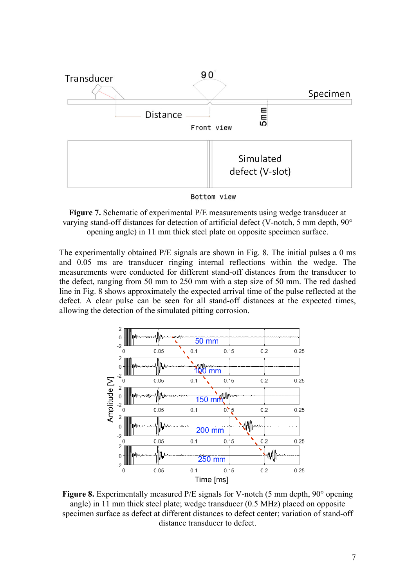



**Figure 7.** Schematic of experimental P/E measurements using wedge transducer at varying stand-off distances for detection of artificial defect (V-notch, 5 mm depth, 90° opening angle) in 11 mm thick steel plate on opposite specimen surface.

The experimentally obtained P/E signals are shown in Fig. 8. The initial pulses a 0 ms and 0.05 ms are transducer ringing internal reflections within the wedge. The measurements were conducted for different stand-off distances from the transducer to the defect, ranging from 50 mm to 250 mm with a step size of 50 mm. The red dashed line in Fig. 8 shows approximately the expected arrival time of the pulse reflected at the defect. A clear pulse can be seen for all stand-off distances at the expected times, allowing the detection of the simulated pitting corrosion.



**Figure 8.** Experimentally measured P/E signals for V-notch (5 mm depth, 90° opening angle) in 11 mm thick steel plate; wedge transducer (0.5 MHz) placed on opposite specimen surface as defect at different distances to defect center; variation of stand-off distance transducer to defect.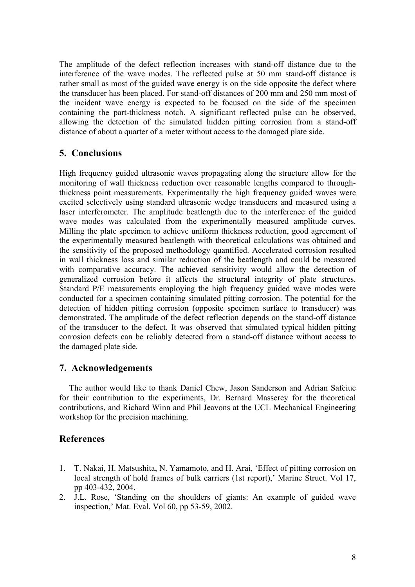The amplitude of the defect reflection increases with stand-off distance due to the interference of the wave modes. The reflected pulse at 50 mm stand-off distance is rather small as most of the guided wave energy is on the side opposite the defect where the transducer has been placed. For stand-off distances of 200 mm and 250 mm most of the incident wave energy is expected to be focused on the side of the specimen containing the part-thickness notch. A significant reflected pulse can be observed, allowing the detection of the simulated hidden pitting corrosion from a stand-off distance of about a quarter of a meter without access to the damaged plate side.

## **5. Conclusions**

High frequency guided ultrasonic waves propagating along the structure allow for the monitoring of wall thickness reduction over reasonable lengths compared to throughthickness point measurements. Experimentally the high frequency guided waves were excited selectively using standard ultrasonic wedge transducers and measured using a laser interferometer. The amplitude beatlength due to the interference of the guided wave modes was calculated from the experimentally measured amplitude curves. Milling the plate specimen to achieve uniform thickness reduction, good agreement of the experimentally measured beatlength with theoretical calculations was obtained and the sensitivity of the proposed methodology quantified. Accelerated corrosion resulted in wall thickness loss and similar reduction of the beatlength and could be measured with comparative accuracy. The achieved sensitivity would allow the detection of generalized corrosion before it affects the structural integrity of plate structures. Standard P/E measurements employing the high frequency guided wave modes were conducted for a specimen containing simulated pitting corrosion. The potential for the detection of hidden pitting corrosion (opposite specimen surface to transducer) was demonstrated. The amplitude of the defect reflection depends on the stand-off distance of the transducer to the defect. It was observed that simulated typical hidden pitting corrosion defects can be reliably detected from a stand-off distance without access to the damaged plate side.

### **7. Acknowledgements**

The author would like to thank Daniel Chew, Jason Sanderson and Adrian Safciuc for their contribution to the experiments, Dr. Bernard Masserey for the theoretical contributions, and Richard Winn and Phil Jeavons at the UCL Mechanical Engineering workshop for the precision machining.

### **References**

- 1. T. Nakai, H. Matsushita, N. Yamamoto, and H. Arai, 'Effect of pitting corrosion on local strength of hold frames of bulk carriers (1st report),' Marine Struct. Vol 17, pp 403-432, 2004.
- 2. J.L. Rose, 'Standing on the shoulders of giants: An example of guided wave inspection,' Mat. Eval. Vol 60, pp 53-59, 2002.